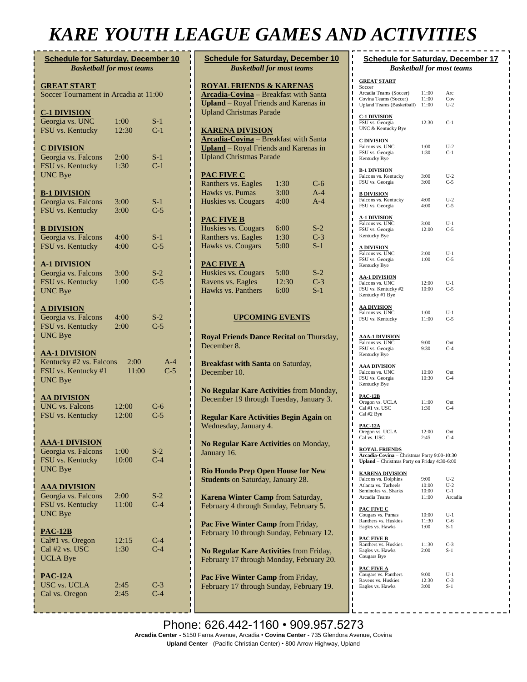## *KARE YOUTH LEAGUE GAMES AND ACTIVITIES*

| <b>Schedule for Saturday, December 10</b><br><b>Basketball for most teams</b>            |                |                |  |  |  |
|------------------------------------------------------------------------------------------|----------------|----------------|--|--|--|
| <b>GREAT START</b><br>Soccer Tournament in Arcadia at 11:00                              |                |                |  |  |  |
| <b>C-1 DIVISION</b><br>Georgia vs. UNC<br>FSU vs. Kentucky                               | 1:00<br>12:30  | $S-1$<br>$C-1$ |  |  |  |
| <b>C DIVISION</b><br>Georgia vs. Falcons<br>FSU vs. Kentucky<br>UNC Bye                  | 2:00<br>1:30   | $S-1$<br>$C-1$ |  |  |  |
| <b>B-1 DIVISION</b><br>Georgia vs. Falcons<br>FSU vs. Kentucky                           | 3:00<br>3:00   | S-1<br>$C-5$   |  |  |  |
| <b>B DIVISION</b><br>Georgia vs. Falcons<br>FSU vs. Kentucky                             | 4:00<br>4:00   | $S-1$<br>$C-5$ |  |  |  |
| <u>A-1 DIVISION</u><br>Georgia vs. Falcons<br>FSU vs. Kentucky<br><b>UNC Bye</b>         | 3:00<br>1:00   | $S-2$<br>$C-5$ |  |  |  |
| <b>A DIVISION</b><br>Georgia vs. Falcons<br>FSU vs. Kentucky<br>UNC Bye                  | 4:00<br>2:00   | $S-2$<br>$C-5$ |  |  |  |
| <u>AA-1 DIVISION</u><br>Kentucky #2 vs. Falcons<br>FSU vs. Kentucky #1<br><b>UNC Bye</b> | 2:00<br>11:00  | A-4<br>$C-5$   |  |  |  |
| <u>AA DIVISION</u><br><b>UNC</b> vs. Falcons<br>FSU vs. Kentucky                         | 12:00<br>12:00 | C-6<br>$C-5$   |  |  |  |
| <b>AAA-1 DIVISION</b><br>Georgia vs. Falcons<br>FSU vs. Kentucky<br>UNC Bye              | 1:00<br>10:00  | $S-2$<br>$C-4$ |  |  |  |
| <b>AAA DIVISION</b><br>Georgia vs. Falcons<br>FSU vs. Kentucky<br><b>UNC Bye</b>         | 2:00<br>11:00  | $S-2$<br>$C-4$ |  |  |  |
| $PAC-12B$<br>Cal#1 vs. Oregon<br>Cal #2 vs. USC<br><b>UCLA Bye</b>                       | 12:15<br>1:30  | $C-4$<br>$C-4$ |  |  |  |
| <b>PAC-12A</b><br><b>USC vs. UCLA</b><br>Cal vs. Oregon                                  | 2:45<br>2:45   | $C-3$<br>$C-4$ |  |  |  |

| <b>Schedule for Saturday, December 10</b>                                                                                          |               |                |                       | <b>Schedule for Saturday, D</b>                                                                                    |                         |                         |
|------------------------------------------------------------------------------------------------------------------------------------|---------------|----------------|-----------------------|--------------------------------------------------------------------------------------------------------------------|-------------------------|-------------------------|
| <b>Basketball for most teams</b>                                                                                                   |               |                |                       | <b>Basketball for most a</b>                                                                                       |                         |                         |
|                                                                                                                                    |               |                | ı<br>ı                | <b>GREAT START</b>                                                                                                 |                         |                         |
| <b>ROYAL FRIENDS &amp; KARENAS</b><br><b>Arcadia-Covina</b> - Breakfast with Santa<br><b>Upland</b> - Royal Friends and Karenas in |               |                | п<br>ı<br>ı<br>п      | Soccer<br>Arcadia Teams (Soccer)<br>Covina Teams (Soccer)<br><b>Upland Teams (Basketball)</b>                      | 11:00<br>11:00<br>11:00 | Arc<br>Cov<br>$U-2$     |
| <b>Upland Christmas Parade</b><br><b>KARENA DIVISION</b>                                                                           |               |                | ı<br>ı<br>ı<br>ı      | <b>C-1 DIVISION</b><br>FSU vs. Georgia<br>UNC & Kentucky Bye                                                       | 12:30                   | $C-1$                   |
| <b>Arcadia-Covina</b> - Breakfast with Santa<br><b>Upland</b> - Royal Friends and Karenas in<br><b>Upland Christmas Parade</b>     |               |                | ı<br>ı<br>ı<br>п<br>ı | <b>C DIVISION</b><br>Falcons vs. UNC<br>FSU vs. Georgia<br>Kentucky Bye                                            | 1:00<br>1:30            | $U-2$<br>C-1            |
| <b>PAC FIVE C</b><br>Ranthers vs. Eagles                                                                                           | 1:30          | C-6            | п<br>П<br>п<br>ı      | <b>B-1 DIVISION</b><br>Falcons vs. Kentucky<br>FSU vs. Georgia                                                     | 3:00<br>3:00            | $U-2$<br>$C-5$          |
| Hawks vs. Pumas<br>Huskies vs. Cougars                                                                                             | 3:00<br>4:00  | $A-4$<br>$A-4$ | п<br>T<br>П<br>П      | <b>B DIVISION</b><br>Falcons vs. Kentucky<br>FSU vs. Georgia                                                       | 4:00<br>4:00            | $U-2$<br>$C-5$          |
| <b>PAC FIVE B</b><br>Huskies vs. Cougars                                                                                           | 6:00          | S-2            | п<br>п<br>п<br>п      | <u>A-1 DIVISION</u><br>Falcons vs. UNC<br>FSU vs. Georgia                                                          | 3:00<br>12:00           | $U-1$<br>$C-5$          |
| Ranthers vs. Eagles<br>Hawks vs. Cougars                                                                                           | 1:30<br>5:00  | $C-3$<br>S-1   | П<br>П<br>п           | Kentucky Bye<br>A DIVISION<br>Falcons vs. UNC                                                                      |                         | $U-1$                   |
| <b>PAC FIVE A</b><br>Huskies vs. Cougars                                                                                           | 5:00          | $S-2$          | П<br>п<br>п<br>п      | FSU vs. Georgia<br>Kentucky Bye                                                                                    | 2:00<br>1:00            | $C-5$                   |
| Ravens vs. Eagles<br>Hawks vs. Panthers                                                                                            | 12:30<br>6:00 | $C-3$<br>$S-1$ | П<br>ı<br>ı<br>п      | <b>AA-1 DIVISION</b><br>Falcons vs. UNC<br>FSU vs. Kentucky #2<br>Kentucky #1 Bye                                  | 12:00<br>10:00          | $U-1$<br>$C-5$          |
| <b>UPCOMING EVENTS</b>                                                                                                             |               |                | I<br>J<br>п           | <b>AA DIVISION</b><br>Falcons vs. UNC<br>FSU vs. Kentucky                                                          | 1:00<br>11:00           | $U-1$<br>$C-5$          |
| Royal Friends Dance Recital on Thursday,<br>December 8.                                                                            |               |                | п<br>П<br>ı           | <u>AAA-1 DIVISION</u><br>Falcons vs. UNC<br>FSU vs. Georgia<br>Kentucky Bye                                        | 9:00<br>9:30            | Ont<br>$C-4$            |
| <b>Breakfast with Santa on Saturday,</b><br>December 10.                                                                           |               |                | ı<br>ı<br>п           | <b>AAA DIVISION</b><br>Falcons vs. UNC<br>FSU vs. Georgia<br>Kentucky Bye                                          | 10:00<br>10:30          | Ont<br>$C-4$            |
| No Regular Kare Activities from Monday,<br>December 19 through Tuesday, January 3.                                                 |               |                | п<br>ı                | <b>PAC-12B</b><br>Oregon vs. UCLA<br>Cal #1 vs. USC<br>Cal #2 Bye                                                  | 11:00<br>1:30           | Ont<br>$C-4$            |
| Regular Kare Activities Begin Again on<br>Wednesday, January 4.                                                                    |               |                | ı<br>ı<br>ı           | PAC-12A<br>Oregon vs. UCLA<br>Cal vs. USC                                                                          | 12:00<br>2:45           | Ont<br>$C-4$            |
| No Regular Kare Activities on Monday,<br>January 16.                                                                               |               |                | ı<br>п<br>п<br>п      | <b>ROYAL FRIENDS</b><br>Arcadia-Covina - Christmas Party 9:00-10:3<br>Upland - Christmas Party on Friday 4:30-6:00 |                         |                         |
| <b>Rio Hondo Prep Open House for New</b><br><b>Students</b> on Saturday, January 28.                                               |               |                | п<br>п<br>ı<br>ı      | <b>KARENA DIVISION</b><br>Falcons vs. Dolphins<br>Atlanta vs. Tarheels<br>Seminoles vs. Sharks                     | 9:00<br>10:00<br>10:00  | $U-2$<br>$U-2$<br>$C-1$ |
| <b>Karena Winter Camp</b> from Saturday,<br>February 4 through Sunday, February 5.                                                 |               |                | ı<br>ı<br>ı           | Arcadia Teams<br><b>PAC FIVE C</b>                                                                                 | 11:00                   | Arca                    |
| <b>Pac Five Winter Camp from Friday,</b><br>February 10 through Sunday, February 12.                                               |               |                | п<br>ı<br>ι<br>п      | Cougars vs. Pumas<br>Ranthers vs. Huskies<br>Eagles vs. Hawks                                                      | 10:00<br>11:30<br>1:00  | $U-1$<br>C-6<br>S-1     |
| No Regular Kare Activities from Friday,<br>February 17 through Monday, February 20.                                                |               |                | п<br>ı<br>п<br>ı      | <b>PAC FIVE B</b><br>Ranthers vs. Huskies<br>Eagles vs. Hawks<br>Cougars Bye                                       | 11:30<br>2:00           | $C-3$<br>S-1            |
| <b>Pac Five Winter Camp</b> from Friday,<br>February 17 through Sunday, February 19.                                               |               |                | ı<br>ı<br>ı<br>п      | <b>PAC FIVE A</b><br>Cougars vs. Panthers<br>Ravens vs. Huskies<br>Eagles vs. Hawks                                | 9:00<br>12:30<br>3:00   | $U-1$<br>$C-3$<br>S-1   |

| <b>Schedule for Saturday, December 17</b><br><b>Basketball for most teams</b> |                |                |  |  |  |
|-------------------------------------------------------------------------------|----------------|----------------|--|--|--|
| <u>GREAT START</u>                                                            |                |                |  |  |  |
| Soccer<br>Arcadia Teams (Soccer)                                              | 11:00          | Arc            |  |  |  |
| Covina Teams (Soccer)                                                         | 11:00          | Cov            |  |  |  |
| Upland Teams (Basketball) 11:00                                               |                | $U-2$          |  |  |  |
| <b>C-1 DIVISION</b><br>FSU vs. Georgia<br>UNC & Kentucky Bye                  | 12:30          | $C-1$          |  |  |  |
| <b>C DIVISION</b><br>Falcons vs. UNC                                          | 1:00           | $U-2$          |  |  |  |
| FSU vs. Georgia<br>Kentucky Bye                                               | 1:30           | $C-1$          |  |  |  |
| <u>B-1 DIVISION</u>                                                           |                |                |  |  |  |
| Falcons vs. Kentucky                                                          | 3:00           | $U-2$          |  |  |  |
| FSU vs. Georgia                                                               | 3:00           | $C-5$          |  |  |  |
| <b>B DIVISION</b>                                                             |                |                |  |  |  |
| Falcons vs. Kentucky<br>FSU vs. Georgia                                       | 4:00<br>4:00   | $U-2$<br>$C-5$ |  |  |  |
|                                                                               |                |                |  |  |  |
| <u>A-1 DIVISION</u><br>Falcons vs. UNC                                        | 3:00           | $U-1$          |  |  |  |
| FSU vs. Georgia                                                               | 12:00          | $C-5$          |  |  |  |
| Kentucky Bye                                                                  |                |                |  |  |  |
| <u>A DIVISION</u>                                                             |                |                |  |  |  |
| Falcons vs. UNC<br>FSU vs. Georgia                                            | 2:00<br>1:00   | $U-1$<br>$C-5$ |  |  |  |
| Kentucky Bye                                                                  |                |                |  |  |  |
| <b>AA-1 DIVISION</b>                                                          |                |                |  |  |  |
| Falcons vs. UNC                                                               | 12:00          | $U-1$          |  |  |  |
| FSU vs. Kentucky #2                                                           | 10:00          | $C-5$          |  |  |  |
| Kentucky #1 Bye                                                               |                |                |  |  |  |
| <u>AA DIVISION</u>                                                            |                |                |  |  |  |
| Falcons vs. UNC<br>FSU vs. Kentucky                                           | 1:00<br>11:00  | $U-1$<br>$C-5$ |  |  |  |
|                                                                               |                |                |  |  |  |
| <u>AAA-1 DIVISION</u>                                                         |                |                |  |  |  |
| Falcons vs. UNC                                                               | 9:00           | Ont            |  |  |  |
| FSU vs. Georgia<br>Kentucky Bye                                               | 9:30           | $C-4$          |  |  |  |
|                                                                               |                |                |  |  |  |
| <u>AAA DIVISION</u><br>Falcons vs. UNC                                        | 10:00          | Ont            |  |  |  |
| FSU vs. Georgia                                                               | 10:30          | $C-4$          |  |  |  |
| Kentucky Bye                                                                  |                |                |  |  |  |
| <b>PAC-12B</b>                                                                |                |                |  |  |  |
| Oregon vs. UCLA                                                               | 11:00          | Ont            |  |  |  |
| Cal #1 vs. USC<br>Cal #2 Bye                                                  | 1:30           | $C-4$          |  |  |  |
|                                                                               |                |                |  |  |  |
| <u>PAC-12A</u><br>Oregon vs. UCLA                                             | 12:00          | Ont            |  |  |  |
| Cal vs. USC                                                                   | 2:45           | $C-4$          |  |  |  |
| <b>ROYAL FRIENDS</b>                                                          |                |                |  |  |  |
| Arcadia-Covina – Christmas Party 9:00-10:30                                   |                |                |  |  |  |
| Upland - Christmas Party on Friday 4:30-6:00                                  |                |                |  |  |  |
| <b>KARENA DIVISION</b>                                                        |                |                |  |  |  |
| Falcons vs. Dolphins<br>Atlanta vs. Tarheels                                  | 9:00<br>10:00  | $U-2$<br>$U-2$ |  |  |  |
| Seminoles vs. Sharks                                                          | 10:00          | $C-1$          |  |  |  |
| Arcadia Teams                                                                 | 11:00          | Arcadia        |  |  |  |
| PAC FIVE C                                                                    |                |                |  |  |  |
| Cougars vs. Pumas<br>Ranthers vs. Huskies                                     | 10:00<br>11:30 | $U-1$<br>$C-6$ |  |  |  |
| Eagles vs. Hawks                                                              | 1:00           | $S-1$          |  |  |  |
| <b>PAC FIVE B</b>                                                             |                |                |  |  |  |
| Ranthers vs. Huskies                                                          | 11:30          | $C-3$          |  |  |  |
| Eagles vs. Hawks<br>Cougars Bye                                               | 2:00           | $S-1$          |  |  |  |
|                                                                               |                |                |  |  |  |

Phone: 626.442-1160 · 909.957.5273 **Arcadia Center** - 5150 Farna Avenue, Arcadia • **Covina Center** - 735 Glendora Avenue, Covina **Upland Center** - (Pacific Christian Center) • 800 Arrow Highway, Upland Center - (Pacific Christian Center) • 800 Arrow Highway, Upland **Kare Youthouse**, February 2007 and Magnesia,

**A and AA Winter Camp** from Saturday,